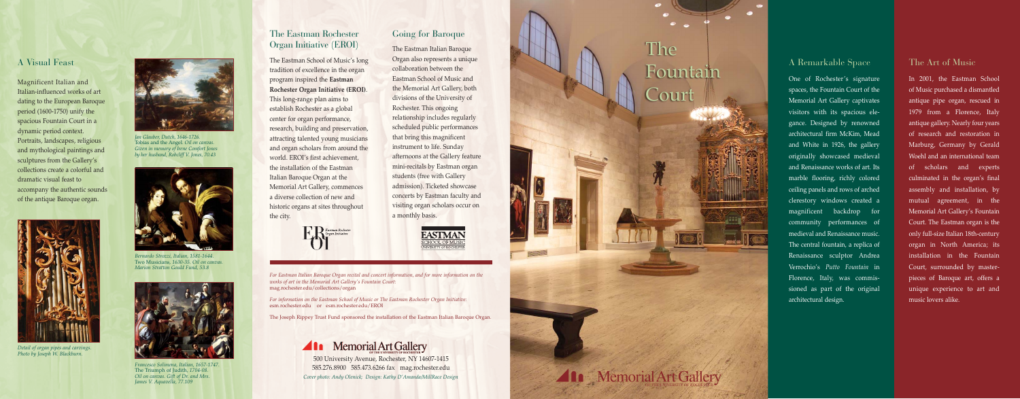#### A Remarkable Space

One of Rochester's signature spaces, the Fountain Court of the Memorial Art Gallery captivates visitors with its spacious elegance. Designed by renowned architectural firm McKim, Mead and White in 1926, the gallery originally showcased medieval and Renaissance works of art. Its marble flooring, richly colored ceiling panels and rows of arched clerestory windows created a magnificent backdrop for community performances of medieval and Renaissance music. The central fountain, a replica of Renaissance sculptor Andrea Verrochio's *Putto Fountain* in Florence, Italy, was commissioned as part of the original architectural design.

### The Eastman Rochester Organ Initiative (EROI)

The Eastman School of Music's long tradition of excellence in the organ program inspired the **Eastman Rochester Organ Initiative (EROI)** . This long-range plan aims to establish Rochester as a global center for organ performance, research, building and preservation, attracting talented young musicians and organ scholars from around the world. EROI's first achievement, the installation of the Eastman Italian Baroque Organ at the Memorial Art Gallery, commences a diverse collection of new and historic organs at sites throughout the city.



#### Going for Baroque

In 2001, the Eastman School of Music purchased a dismantled antique pipe organ, rescued in 1979 from a Florence, Italy antique gallery. Nearly four years of research and restoration in Marburg, Germany by Gerald Woehl and an international team of scholars and experts culminated in the organ's final assembly and installation, by mutual agreement, in the Memorial Art Gallery's Fountain Court. The Eastman organ is the only full-size Italian 18th-century organ in North America; its installation in the Fountain Court, surrounded by masterpieces of Baroque art, offers a unique experience to art and music lovers alike.

The Eastman Italian Baroque Organ also represents a unique collaboration between the Eastman School of Music and the Memorial Art Gallery, both divisions of the University of Rochester. This ongoing relationship includes regularly scheduled public performances that bring this magnificent instrument to life. Sunday afternoons at the Gallery feature mini-recitals by Eastman organ students (free with Gallery admission). Ticketed showcase concerts by Eastman faculty and visiting organ scholars occur on a monthly basis.



*For Eastman Italian Baroque Organ recital and concert information, and for more information on the works of art in the Memorial Art Gallery's Fountain Court:* mag.rochester.edu/collections/organ

*For information on the Eastman School of Music or The Eastman Rochester Organ Initiative:* esm.rochester.edu or esm.rochester.edu/EROI

The Joseph Rippey Trust Fund sponsored the installation of the Eastman Italian Baroque Organ.



*Cover photo: Andy Olenick; Design: Kathy D'Amanda/MillRace Design* 500 University Avenue, Rochester, NY 14607-1415 585.276.8900 585.473.6266 fax mag.rochester.edu



# **The** Fountain L'our

**Ala** Memorial Art Gallery

#### The Art of Music

### A Visual Feast

Magnificent Italian and Italian-influenced works of art dating to the European Baroque period (1600-1750) unify the spacious Fountain Court in a dynamic period context. Portraits, landscapes, religious and mythological paintings and sculptures from the Gallery's collections create a colorful and dramatic visual feast to accompany the authentic sounds of the antique Baroque organ.



*Detail of organ pipes and carvings. Photo by Joseph W. Blackburn.*



*Francesco Solimena, Italian, 1657-1747.* The Triumph of Judith*, 1704-08. Oil on canvas. Gift of Dr. and Mrs. James V. Aquavella, 77.109*



*Bernardo Strozzi, Italian, 1581-1644.* Two Musicians*, 1630-35. Oil on canvas. Marion Stratton Gould Fund, 53.8*



*Jan Glauber, Dutch, 1646-1726.* Tobias and the Angel. *Oil on canvas. Given in memory of Irene Comfort Jones by her husband, Robcliff V. Jones, 70.43*